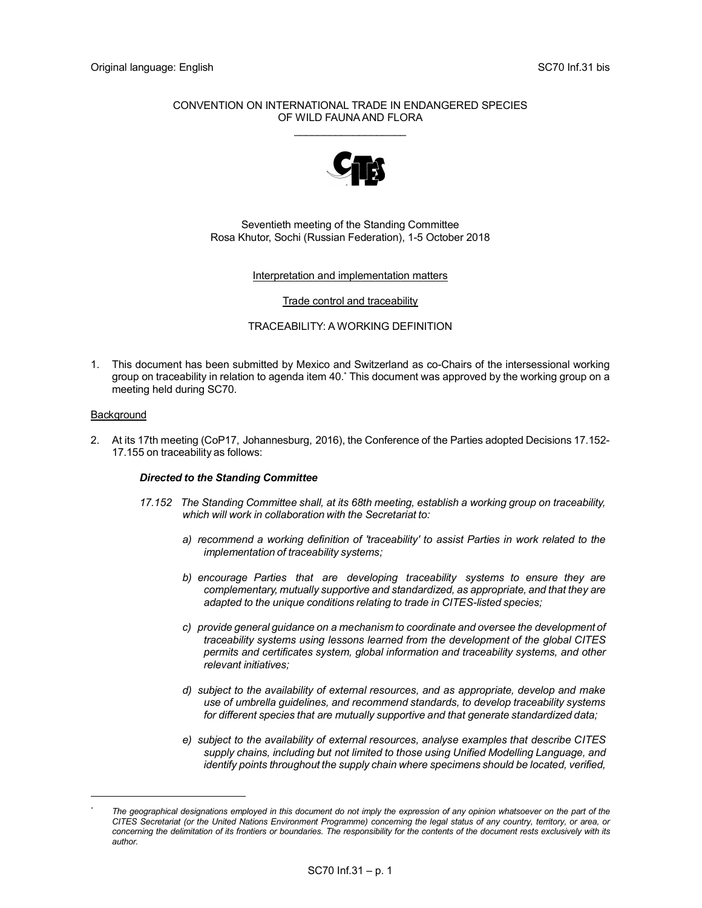# CONVENTION ON INTERNATIONAL TRADE IN ENDANGERED SPECIES OF WILD FAUNA AND FLORA  $\mathcal{L}=\mathcal{L}=\mathcal{L}=\mathcal{L}=\mathcal{L}=\mathcal{L}=\mathcal{L}=\mathcal{L}=\mathcal{L}=\mathcal{L}=\mathcal{L}=\mathcal{L}=\mathcal{L}=\mathcal{L}=\mathcal{L}=\mathcal{L}=\mathcal{L}=\mathcal{L}=\mathcal{L}=\mathcal{L}=\mathcal{L}=\mathcal{L}=\mathcal{L}=\mathcal{L}=\mathcal{L}=\mathcal{L}=\mathcal{L}=\mathcal{L}=\mathcal{L}=\mathcal{L}=\mathcal{L}=\mathcal{L}=\mathcal{L}=\mathcal{L}=\mathcal{L}=\mathcal{L}=\mathcal{$



# Seventieth meeting of the Standing Committee Rosa Khutor, Sochi (Russian Federation), 1-5 October 2018

# Interpretation and implementation matters

#### Trade control and traceability

# TRACEABILITY: A WORKING DEFINITION

1. This document has been submitted by Mexico and Switzerland as co-Chairs of the intersessional working group on traceability in relation to agenda item 40.\* This document was approved by the working group on a meeting held during SC70.

### Background

i<br>I

2. At its 17th meeting (CoP17, Johannesburg, 2016), the Conference of the Parties adopted Decisions 17.152- 17.155 on traceability as follows:

# Directed to the Standing Committee

- 17.152 The Standing Committee shall, at its 68th meeting, establish a working group on traceability, which will work in collaboration with the Secretariat to:
	- a) recommend a working definition of 'traceability' to assist Parties in work related to the implementation of traceability systems;
	- b) encourage Parties that are developing traceability systems to ensure they are complementary, mutually supportive and standardized, as appropriate, and that they are adapted to the unique conditions relating to trade in CITES-listed species;
	- c) provide general guidance on a mechanism to coordinate and oversee the development of traceability systems using lessons learned from the development of the global CITES permits and certificates system, global information and traceability systems, and other relevant initiatives;
	- d) subject to the availability of external resources, and as appropriate, develop and make use of umbrella guidelines, and recommend standards, to develop traceability systems for different species that are mutually supportive and that generate standardized data;
	- e) subject to the availability of external resources, analyse examples that describe CITES supply chains, including but not limited to those using Unified Modelling Language, and identify points throughout the supply chain where specimens should be located, verified,

<sup>\*</sup> The geographical designations employed in this document do not imply the expression of any opinion whatsoever on the part of the CITES Secretariat (or the United Nations Environment Programme) concerning the legal status of any country, territory, or area, or concerning the delimitation of its frontiers or boundaries. The responsibility for the contents of the document rests exclusively with its author.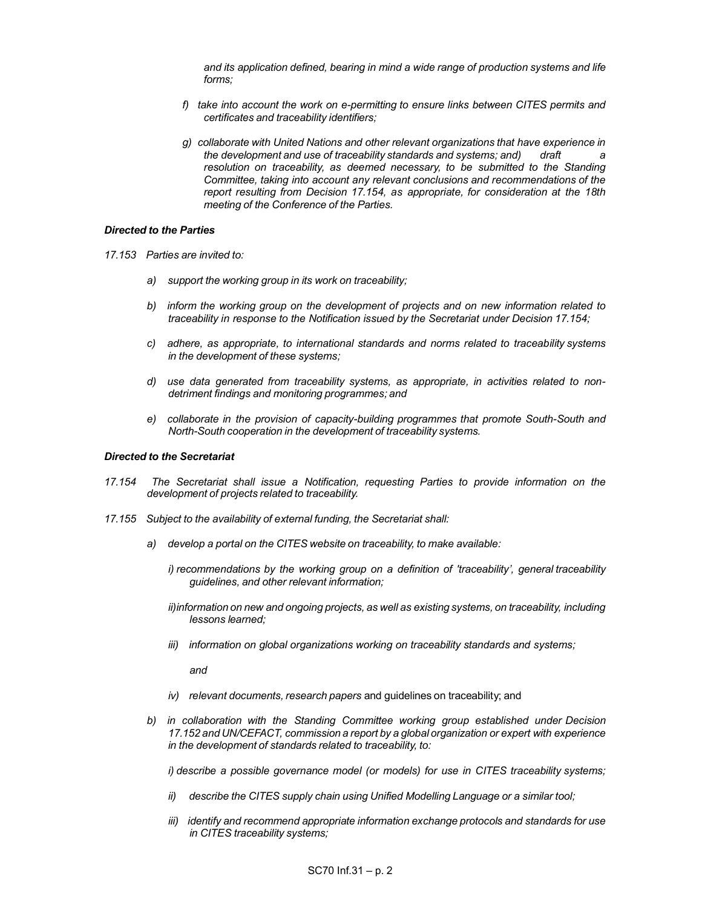and its application defined, bearing in mind a wide range of production systems and life forms;

- f) take into account the work on e-permitting to ensure links between CITES permits and certificates and traceability identifiers;
- g) collaborate with United Nations and other relevant organizations that have experience in the development and use of traceability standards and systems; and) draft resolution on traceability, as deemed necessary, to be submitted to the Standing Committee, taking into account any relevant conclusions and recommendations of the report resulting from Decision 17.154, as appropriate, for consideration at the 18th meeting of the Conference of the Parties.

#### Directed to the Parties

- 17.153 Parties are invited to:
	- a) support the working group in its work on traceability;
	- b) inform the working group on the development of projects and on new information related to traceability in response to the Notification issued by the Secretariat under Decision 17.154;
	- c) adhere, as appropriate, to international standards and norms related to traceability systems in the development of these systems;
	- d) use data generated from traceability systems, as appropriate, in activities related to nondetriment findings and monitoring programmes; and
	- e) collaborate in the provision of capacity-building programmes that promote South-South and North-South cooperation in the development of traceability systems.

#### Directed to the Secretariat

- 17.154 The Secretariat shall issue a Notification, requesting Parties to provide information on the development of projects related to traceability.
- 17.155 Subject to the availability of external funding, the Secretariat shall:
	- a) develop a portal on the CITES website on traceability, to make available:
		- i) recommendations by the working group on a definition of 'traceability', general traceability guidelines, and other relevant information;
		- ii) information on new and ongoing projects, as well as existing systems, on traceability, including lessons learned;
		- iii) information on global organizations working on traceability standards and systems;

and

- iv) relevant documents, research papers and quidelines on traceability; and
- b) in collaboration with the Standing Committee working group established under Decision 17.152 and UN/CEFACT, commission a report by a global organization or expert with experience in the development of standards related to traceability, to:

i) describe a possible governance model (or models) for use in CITES traceability systems;

- ii) describe the CITES supply chain using Unified Modelling Language or a similar tool;
- iii) identify and recommend appropriate information exchange protocols and standards for use in CITES traceability systems;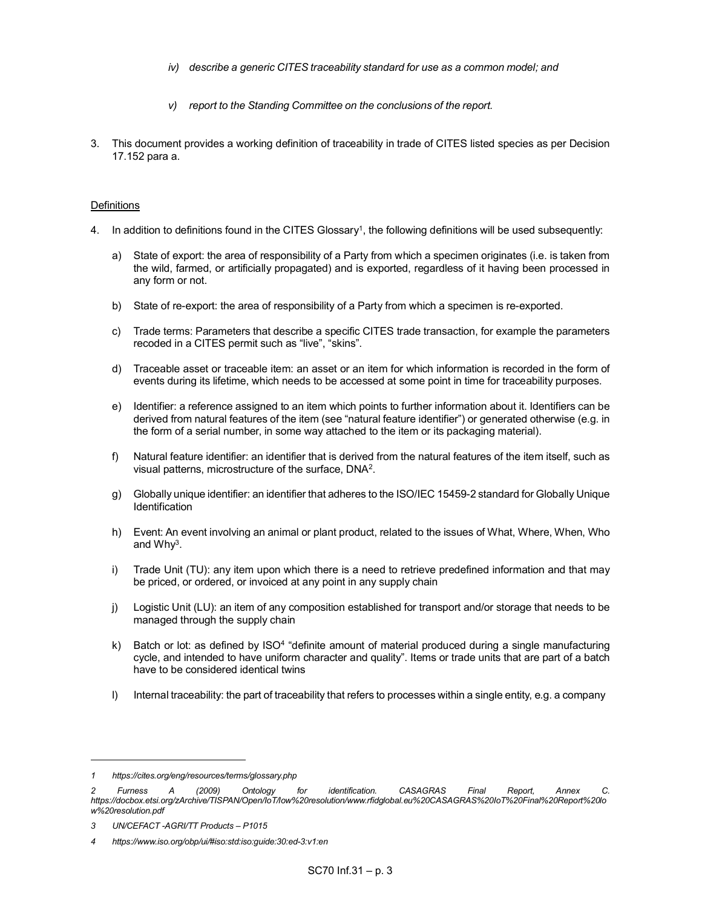- iv) describe a generic CITES traceability standard for use as a common model; and
- v) report to the Standing Committee on the conclusions of the report.
- 3. This document provides a working definition of traceability in trade of CITES listed species as per Decision 17.152 para a.

# **Definitions**

- 4. In addition to definitions found in the CITES Glossary<sup>1</sup>, the following definitions will be used subsequently:
	- a) State of export: the area of responsibility of a Party from which a specimen originates (i.e. is taken from the wild, farmed, or artificially propagated) and is exported, regardless of it having been processed in any form or not.
	- b) State of re-export: the area of responsibility of a Party from which a specimen is re-exported.
	- c) Trade terms: Parameters that describe a specific CITES trade transaction, for example the parameters recoded in a CITES permit such as "live", "skins".
	- d) Traceable asset or traceable item: an asset or an item for which information is recorded in the form of events during its lifetime, which needs to be accessed at some point in time for traceability purposes.
	- e) Identifier: a reference assigned to an item which points to further information about it. Identifiers can be derived from natural features of the item (see "natural feature identifier") or generated otherwise (e.g. in the form of a serial number, in some way attached to the item or its packaging material).
	- f) Natural feature identifier: an identifier that is derived from the natural features of the item itself, such as visual patterns, microstructure of the surface, DNA<sup>2</sup>.
	- g) Globally unique identifier: an identifier that adheres to the ISO/IEC 15459-2 standard for Globally Unique **Identification**
	- h) Event: An event involving an animal or plant product, related to the issues of What, Where, When, Who and Why<sup>3</sup>.
	- i) Trade Unit (TU): any item upon which there is a need to retrieve predefined information and that may be priced, or ordered, or invoiced at any point in any supply chain
	- j) Logistic Unit (LU): an item of any composition established for transport and/or storage that needs to be managed through the supply chain
- k) Batch or lot: as defined by ISO<sup>4</sup> "definite amount of material produced during a single manufacturing cycle, and intended to have uniform character and quality". Items or trade units that are part of a batch have to be considered identical twins
	- l) Internal traceability: the part of traceability that refers to processes within a single entity, e.g. a company

<sup>1</sup> https://cites.org/eng/resources/terms/glossary.php

<sup>2</sup> Furness A (2009) Ontology for identification. CASAGRAS Final Report, Annex C. https://docbox.etsi.org/zArchive/TISPAN/Open/IoT/low%20resolution/www.rfidglobal.eu%20CASAGRAS%20IoT%20Final%20Report%20lo w%20resolution.pdf

<sup>3</sup> UN/CEFACT -AGRI/TT Products – P1015

<sup>4</sup> https://www.iso.org/obp/ui/#iso:std:iso:guide:30:ed-3:v1:en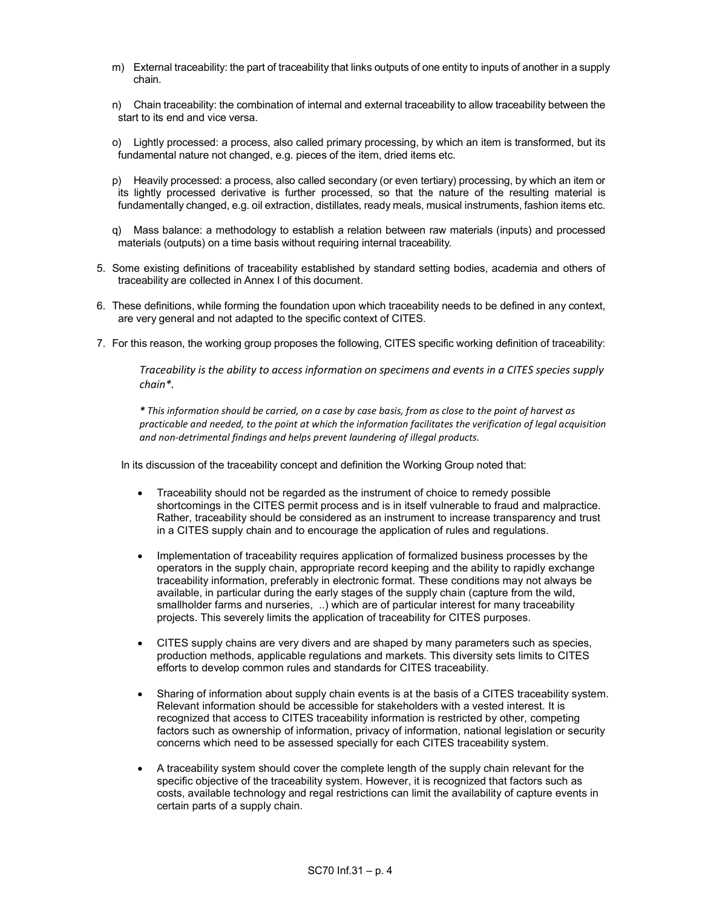- m) External traceability: the part of traceability that links outputs of one entity to inputs of another in a supply chain.
- n) Chain traceability: the combination of internal and external traceability to allow traceability between the start to its end and vice versa.
- o) Lightly processed: a process, also called primary processing, by which an item is transformed, but its fundamental nature not changed, e.g. pieces of the item, dried items etc.
- p) Heavily processed: a process, also called secondary (or even tertiary) processing, by which an item or its lightly processed derivative is further processed, so that the nature of the resulting material is fundamentally changed, e.g. oil extraction, distillates, ready meals, musical instruments, fashion items etc.
- q) Mass balance: a methodology to establish a relation between raw materials (inputs) and processed materials (outputs) on a time basis without requiring internal traceability.
- 5. Some existing definitions of traceability established by standard setting bodies, academia and others of traceability are collected in Annex I of this document.
- 6. These definitions, while forming the foundation upon which traceability needs to be defined in any context, are very general and not adapted to the specific context of CITES.
- 7. For this reason, the working group proposes the following, CITES specific working definition of traceability:

Traceability is the ability to access information on specimens and events in a CITES species supply chain\*.

\* This information should be carried, on a case by case basis, from as close to the point of harvest as practicable and needed, to the point at which the information facilitates the verification of legal acquisition and non-detrimental findings and helps prevent laundering of illegal products.

In its discussion of the traceability concept and definition the Working Group noted that:

- Traceability should not be regarded as the instrument of choice to remedy possible shortcomings in the CITES permit process and is in itself vulnerable to fraud and malpractice. Rather, traceability should be considered as an instrument to increase transparency and trust in a CITES supply chain and to encourage the application of rules and regulations.
- Implementation of traceability requires application of formalized business processes by the operators in the supply chain, appropriate record keeping and the ability to rapidly exchange traceability information, preferably in electronic format. These conditions may not always be available, in particular during the early stages of the supply chain (capture from the wild, smallholder farms and nurseries, ..) which are of particular interest for many traceability projects. This severely limits the application of traceability for CITES purposes.
- CITES supply chains are very divers and are shaped by many parameters such as species, production methods, applicable regulations and markets. This diversity sets limits to CITES efforts to develop common rules and standards for CITES traceability.
- Sharing of information about supply chain events is at the basis of a CITES traceability system. Relevant information should be accessible for stakeholders with a vested interest. It is recognized that access to CITES traceability information is restricted by other, competing factors such as ownership of information, privacy of information, national legislation or security concerns which need to be assessed specially for each CITES traceability system.
- A traceability system should cover the complete length of the supply chain relevant for the specific objective of the traceability system. However, it is recognized that factors such as costs, available technology and regal restrictions can limit the availability of capture events in certain parts of a supply chain.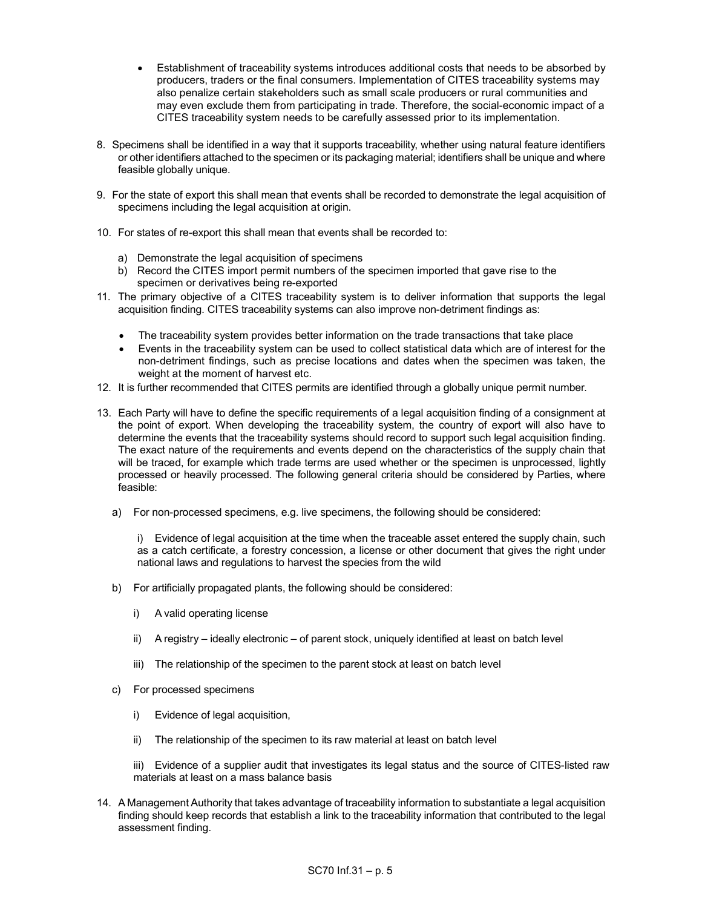- Establishment of traceability systems introduces additional costs that needs to be absorbed by producers, traders or the final consumers. Implementation of CITES traceability systems may also penalize certain stakeholders such as small scale producers or rural communities and may even exclude them from participating in trade. Therefore, the social-economic impact of a CITES traceability system needs to be carefully assessed prior to its implementation.
- 8. Specimens shall be identified in a way that it supports traceability, whether using natural feature identifiers or other identifiers attached to the specimen or its packaging material; identifiers shall be unique and where feasible globally unique.
- 9. For the state of export this shall mean that events shall be recorded to demonstrate the legal acquisition of specimens including the legal acquisition at origin.
- 10. For states of re-export this shall mean that events shall be recorded to:
	- a) Demonstrate the legal acquisition of specimens
	- b) Record the CITES import permit numbers of the specimen imported that gave rise to the specimen or derivatives being re-exported
- 11. The primary objective of a CITES traceability system is to deliver information that supports the legal acquisition finding. CITES traceability systems can also improve non-detriment findings as:
	- The traceability system provides better information on the trade transactions that take place
	- Events in the traceability system can be used to collect statistical data which are of interest for the non-detriment findings, such as precise locations and dates when the specimen was taken, the weight at the moment of harvest etc.
- 12. It is further recommended that CITES permits are identified through a globally unique permit number.
- 13. Each Party will have to define the specific requirements of a legal acquisition finding of a consignment at the point of export. When developing the traceability system, the country of export will also have to determine the events that the traceability systems should record to support such legal acquisition finding. The exact nature of the requirements and events depend on the characteristics of the supply chain that will be traced, for example which trade terms are used whether or the specimen is unprocessed, lightly processed or heavily processed. The following general criteria should be considered by Parties, where feasible:
	- a) For non-processed specimens, e.g. live specimens, the following should be considered:

i) Evidence of legal acquisition at the time when the traceable asset entered the supply chain, such as a catch certificate, a forestry concession, a license or other document that gives the right under national laws and regulations to harvest the species from the wild

- b) For artificially propagated plants, the following should be considered:
	- i) A valid operating license
	- ii) A registry ideally electronic of parent stock, uniquely identified at least on batch level
	- iii) The relationship of the specimen to the parent stock at least on batch level
- c) For processed specimens
	- i) Evidence of legal acquisition,
	- ii) The relationship of the specimen to its raw material at least on batch level

 iii) Evidence of a supplier audit that investigates its legal status and the source of CITES-listed raw materials at least on a mass balance basis

14. A Management Authority that takes advantage of traceability information to substantiate a legal acquisition finding should keep records that establish a link to the traceability information that contributed to the legal assessment finding.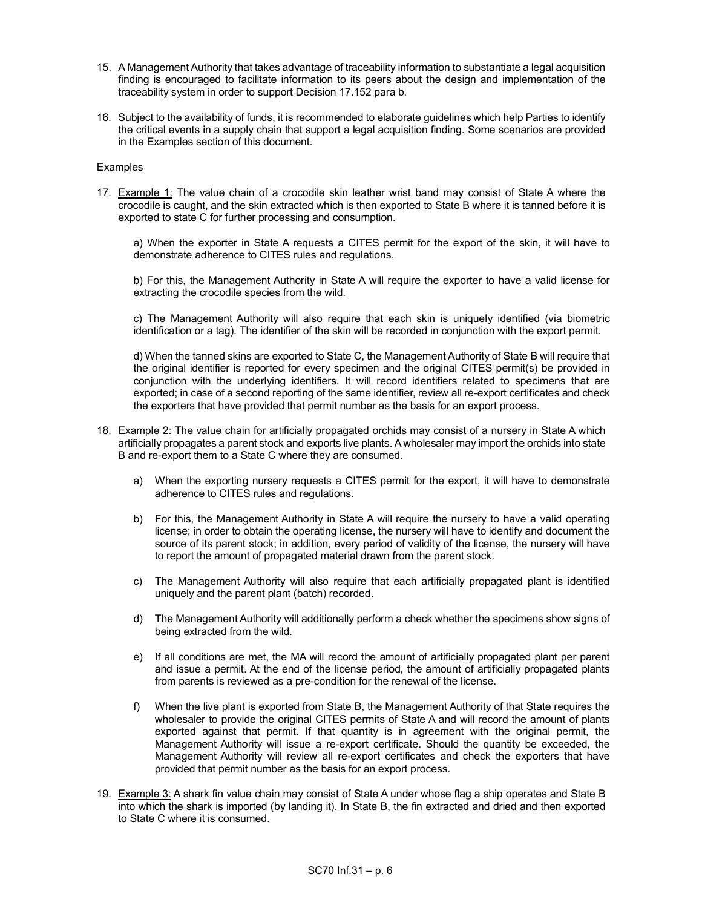- 15. A Management Authority that takes advantage of traceability information to substantiate a legal acquisition finding is encouraged to facilitate information to its peers about the design and implementation of the traceability system in order to support Decision 17.152 para b.
- 16. Subject to the availability of funds, it is recommended to elaborate guidelines which help Parties to identify the critical events in a supply chain that support a legal acquisition finding. Some scenarios are provided in the Examples section of this document.

# **Examples**

17. Example 1: The value chain of a crocodile skin leather wrist band may consist of State A where the crocodile is caught, and the skin extracted which is then exported to State B where it is tanned before it is exported to state C for further processing and consumption.

 a) When the exporter in State A requests a CITES permit for the export of the skin, it will have to demonstrate adherence to CITES rules and regulations.

 b) For this, the Management Authority in State A will require the exporter to have a valid license for extracting the crocodile species from the wild.

 c) The Management Authority will also require that each skin is uniquely identified (via biometric identification or a tag). The identifier of the skin will be recorded in conjunction with the export permit.

 d) When the tanned skins are exported to State C, the Management Authority of State B will require that the original identifier is reported for every specimen and the original CITES permit(s) be provided in conjunction with the underlying identifiers. It will record identifiers related to specimens that are exported; in case of a second reporting of the same identifier, review all re-export certificates and check the exporters that have provided that permit number as the basis for an export process.

- 18. Example 2: The value chain for artificially propagated orchids may consist of a nursery in State A which artificially propagates a parent stock and exports live plants. A wholesaler may import the orchids into state B and re-export them to a State C where they are consumed.
	- a) When the exporting nursery requests a CITES permit for the export, it will have to demonstrate adherence to CITES rules and regulations.
	- b) For this, the Management Authority in State A will require the nursery to have a valid operating license; in order to obtain the operating license, the nursery will have to identify and document the source of its parent stock; in addition, every period of validity of the license, the nursery will have to report the amount of propagated material drawn from the parent stock.
	- c) The Management Authority will also require that each artificially propagated plant is identified uniquely and the parent plant (batch) recorded.
	- d) The Management Authority will additionally perform a check whether the specimens show signs of being extracted from the wild.
	- e) If all conditions are met, the MA will record the amount of artificially propagated plant per parent and issue a permit. At the end of the license period, the amount of artificially propagated plants from parents is reviewed as a pre-condition for the renewal of the license.
	- f) When the live plant is exported from State B, the Management Authority of that State requires the wholesaler to provide the original CITES permits of State A and will record the amount of plants exported against that permit. If that quantity is in agreement with the original permit, the Management Authority will issue a re-export certificate. Should the quantity be exceeded, the Management Authority will review all re-export certificates and check the exporters that have provided that permit number as the basis for an export process.
- 19. Example 3: A shark fin value chain may consist of State A under whose flag a ship operates and State B into which the shark is imported (by landing it). In State B, the fin extracted and dried and then exported to State C where it is consumed.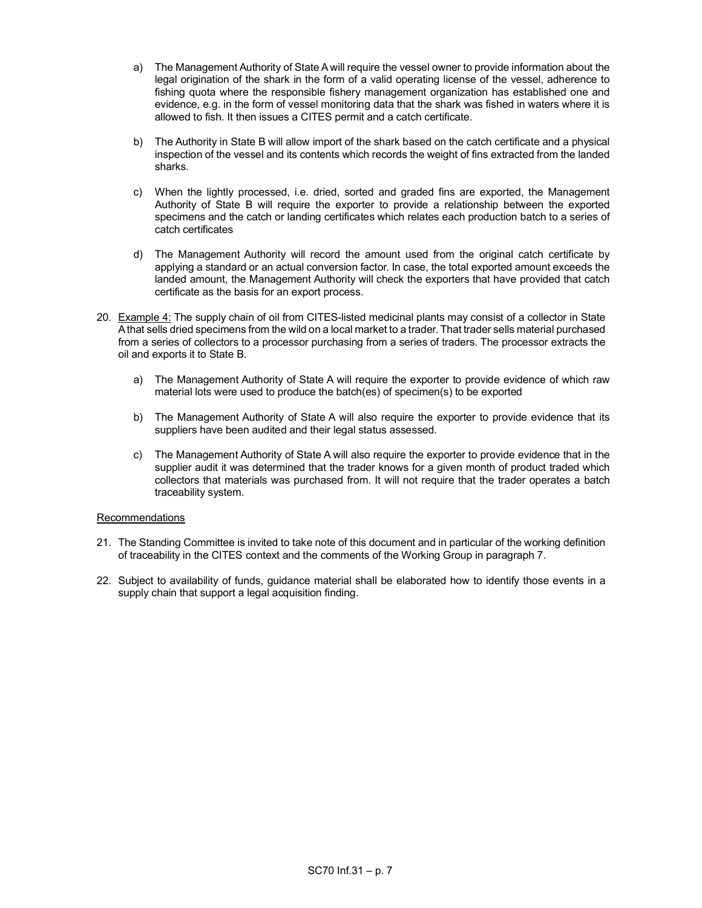- a) The Management Authority of State A will require the vessel owner to provide information about the legal origination of the shark in the form of a valid operating license of the vessel, adherence to fishing quota where the responsible fishery management organization has established one and evidence, e.g. in the form of vessel monitoring data that the shark was fished in waters where it is allowed to fish. It then issues a CITES permit and a catch certificate.
- b) The Authority in State B will allow import of the shark based on the catch certificate and a physical inspection of the vessel and its contents which records the weight of fins extracted from the landed sharks.
- c) When the lightly processed, i.e. dried, sorted and graded fins are exported, the Management Authority of State B will require the exporter to provide a relationship between the exported specimens and the catch or landing certificates which relates each production batch to a series of catch certificates
- d) The Management Authority will record the amount used from the original catch certificate by applying a standard or an actual conversion factor. In case, the total exported amount exceeds the landed amount, the Management Authority will check the exporters that have provided that catch certificate as the basis for an export process.
- 20. Example 4: The supply chain of oil from CITES-listed medicinal plants may consist of a collector in State A that sells dried specimens from the wild on a local market to a trader. That trader sells material purchased from a series of collectors to a processor purchasing from a series of traders. The processor extracts the oil and exports it to State B.
	- a) The Management Authority of State A will require the exporter to provide evidence of which raw material lots were used to produce the batch(es) of specimen(s) to be exported
	- b) The Management Authority of State A will also require the exporter to provide evidence that its suppliers have been audited and their legal status assessed.
	- c) The Management Authority of State A will also require the exporter to provide evidence that in the supplier audit it was determined that the trader knows for a given month of product traded which collectors that materials was purchased from. It will not require that the trader operates a batch traceability system.

# Recommendations

- 21. The Standing Committee is invited to take note of this document and in particular of the working definition of traceability in the CITES context and the comments of the Working Group in paragraph 7.
- 22. Subject to availability of funds, guidance material shall be elaborated how to identify those events in a supply chain that support a legal acquisition finding.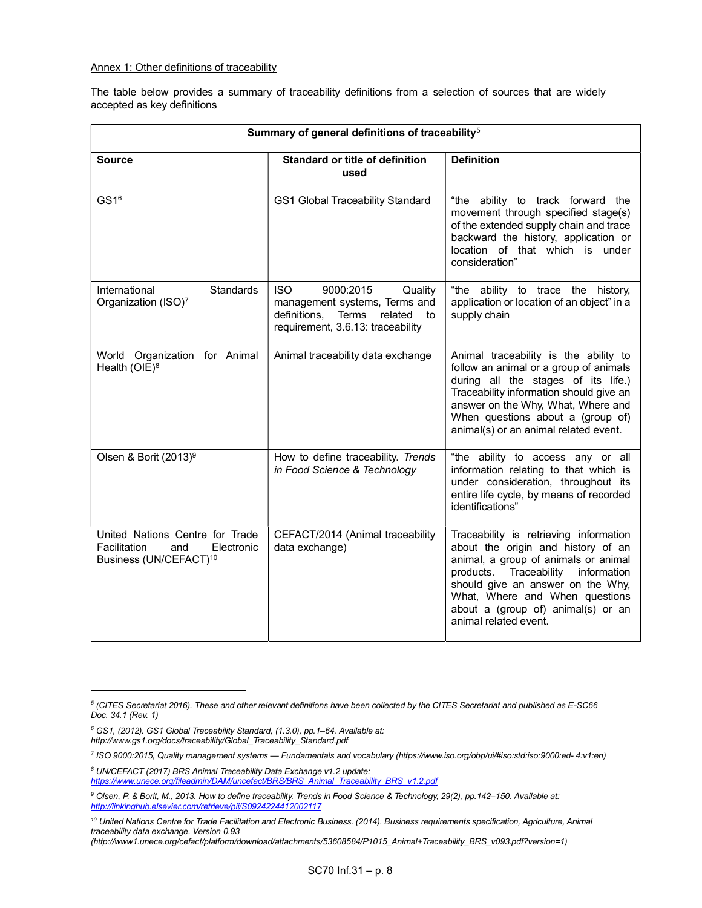# Annex 1: Other definitions of traceability

The table below provides a summary of traceability definitions from a selection of sources that are widely accepted as key definitions

| Summary of general definitions of traceability <sup>5</sup>                                                |                                                                                                                                                 |                                                                                                                                                                                                                                                                                                     |
|------------------------------------------------------------------------------------------------------------|-------------------------------------------------------------------------------------------------------------------------------------------------|-----------------------------------------------------------------------------------------------------------------------------------------------------------------------------------------------------------------------------------------------------------------------------------------------------|
| <b>Source</b>                                                                                              | Standard or title of definition<br>used                                                                                                         | <b>Definition</b>                                                                                                                                                                                                                                                                                   |
| GS1 <sup>6</sup>                                                                                           | <b>GS1 Global Traceability Standard</b>                                                                                                         | "the ability to track forward the<br>movement through specified stage(s)<br>of the extended supply chain and trace<br>backward the history, application or<br>location of that which is under<br>consideration"                                                                                     |
| <b>Standards</b><br>International<br>Organization (ISO)7                                                   | <b>ISO</b><br>9000:2015<br>Quality<br>management systems, Terms and<br>definitions, Terms<br>related<br>to<br>requirement, 3.6.13: traceability | "the ability to trace the history,<br>application or location of an object" in a<br>supply chain                                                                                                                                                                                                    |
| World Organization for Animal<br>Health (OIE) <sup>8</sup>                                                 | Animal traceability data exchange                                                                                                               | Animal traceability is the ability to<br>follow an animal or a group of animals<br>during all the stages of its life.)<br>Traceability information should give an<br>answer on the Why, What, Where and<br>When questions about a (group of)<br>animal(s) or an animal related event.               |
| Olsen & Borit $(2013)^9$                                                                                   | How to define traceability. Trends<br>in Food Science & Technology                                                                              | "the ability to access any or all<br>information relating to that which is<br>under consideration, throughout its<br>entire life cycle, by means of recorded<br>identifications"                                                                                                                    |
| United Nations Centre for Trade<br>Facilitation<br>and<br>Electronic<br>Business (UN/CEFACT) <sup>10</sup> | CEFACT/2014 (Animal traceability<br>data exchange)                                                                                              | Traceability is retrieving information<br>about the origin and history of an<br>animal, a group of animals or animal<br>products.<br>Traceability information<br>should give an answer on the Why,<br>What, Where and When questions<br>about a (group of) animal(s) or an<br>animal related event. |

<sup>6</sup> GS1, (2012). GS1 Global Traceability Standard, (1.3.0), pp.1–64. Available at:

8 UN/CEFACT (2017) BRS Animal Traceability Data Exchange v1.2 update: https://www.unece.org/fileadmin/DAM/uncefact/BRS/BRS\_Animal\_Traceability\_BRS\_v1.2.pdf

 $^5$  (CITES Secretariat 2016). These and other relevant definitions have been collected by the CITES Secretariat and published as E-SC66 Doc. 34.1 (Rev. 1)

http://www.gs1.org/docs/traceability/Global\_Traceability\_Standard.pdf

<sup>7</sup> ISO 9000:2015, Quality management systems — Fundamentals and vocabulary (https://www.iso.org/obp/ui/#iso:std:iso:9000:ed- 4:v1:en)

<sup>9</sup> Olsen, P. & Borit, M., 2013. How to define traceability. Trends in Food Science & Technology, 29(2), pp.142–150. Available at: http://linkinghub.elsevier.com/retrieve/pii/S0924224412002117

<sup>&</sup>lt;sup>10</sup> United Nations Centre for Trade Facilitation and Electronic Business. (2014). Business requirements specification, Agriculture, Animal traceability data exchange. Version 0.93

<sup>(</sup>http://www1.unece.org/cefact/platform/download/attachments/53608584/P1015\_Animal+Traceability\_BRS\_v093.pdf?version=1)